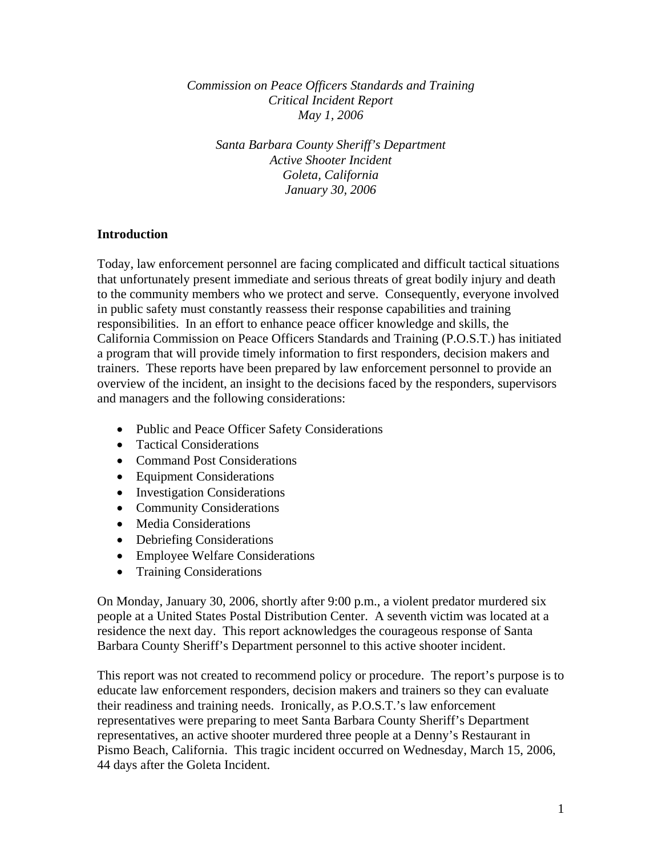*Commission on Peace Officers Standards and Training Critical Incident Report May 1, 2006* 

*Santa Barbara County Sheriff's Department Active Shooter Incident Goleta, California January 30, 2006* 

# **Introduction**

Today, law enforcement personnel are facing complicated and difficult tactical situations that unfortunately present immediate and serious threats of great bodily injury and death to the community members who we protect and serve. Consequently, everyone involved in public safety must constantly reassess their response capabilities and training responsibilities. In an effort to enhance peace officer knowledge and skills, the California Commission on Peace Officers Standards and Training (P.O.S.T.) has initiated a program that will provide timely information to first responders, decision makers and trainers. These reports have been prepared by law enforcement personnel to provide an overview of the incident, an insight to the decisions faced by the responders, supervisors and managers and the following considerations:

- Public and Peace Officer Safety Considerations
- Tactical Considerations
- Command Post Considerations
- Equipment Considerations
- Investigation Considerations
- Community Considerations
- Media Considerations
- Debriefing Considerations
- Employee Welfare Considerations
- Training Considerations

On Monday, January 30, 2006, shortly after 9:00 p.m., a violent predator murdered six people at a United States Postal Distribution Center. A seventh victim was located at a residence the next day. This report acknowledges the courageous response of Santa Barbara County Sheriff's Department personnel to this active shooter incident.

This report was not created to recommend policy or procedure. The report's purpose is to educate law enforcement responders, decision makers and trainers so they can evaluate their readiness and training needs. Ironically, as P.O.S.T.'s law enforcement representatives were preparing to meet Santa Barbara County Sheriff's Department representatives, an active shooter murdered three people at a Denny's Restaurant in Pismo Beach, California. This tragic incident occurred on Wednesday, March 15, 2006, 44 days after the Goleta Incident.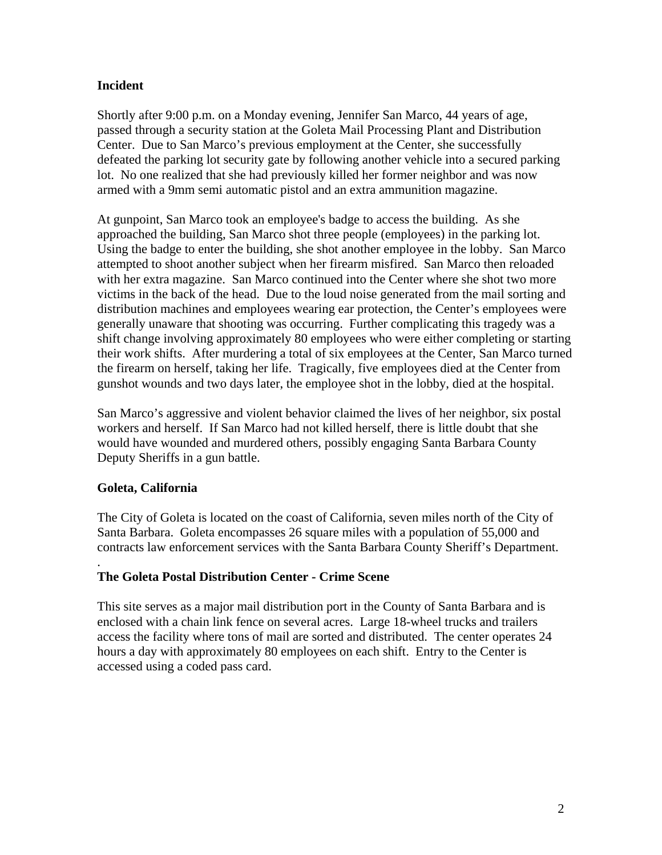# **Incident**

Shortly after 9:00 p.m. on a Monday evening, Jennifer San Marco, 44 years of age, passed through a security station at the Goleta Mail Processing Plant and Distribution Center. Due to San Marco's previous employment at the Center, she successfully defeated the parking lot security gate by following another vehicle into a secured parking lot. No one realized that she had previously killed her former neighbor and was now armed with a 9mm semi automatic pistol and an extra ammunition magazine.

At gunpoint, San Marco took an employee's badge to access the building. As she approached the building, San Marco shot three people (employees) in the parking lot. Using the badge to enter the building, she shot another employee in the lobby. San Marco attempted to shoot another subject when her firearm misfired. San Marco then reloaded with her extra magazine. San Marco continued into the Center where she shot two more victims in the back of the head. Due to the loud noise generated from the mail sorting and distribution machines and employees wearing ear protection, the Center's employees were generally unaware that shooting was occurring. Further complicating this tragedy was a shift change involving approximately 80 employees who were either completing or starting their work shifts. After murdering a total of six employees at the Center, San Marco turned the firearm on herself, taking her life. Tragically, five employees died at the Center from gunshot wounds and two days later, the employee shot in the lobby, died at the hospital.

San Marco's aggressive and violent behavior claimed the lives of her neighbor, six postal workers and herself. If San Marco had not killed herself, there is little doubt that she would have wounded and murdered others, possibly engaging Santa Barbara County Deputy Sheriffs in a gun battle.

# **Goleta, California**

The City of Goleta is located on the coast of California, seven miles north of the City of Santa Barbara. Goleta encompasses 26 square miles with a population of 55,000 and contracts law enforcement services with the Santa Barbara County Sheriff's Department.

#### . **The Goleta Postal Distribution Center - Crime Scene**

This site serves as a major mail distribution port in the County of Santa Barbara and is enclosed with a chain link fence on several acres. Large 18-wheel trucks and trailers access the facility where tons of mail are sorted and distributed. The center operates 24 hours a day with approximately 80 employees on each shift. Entry to the Center is accessed using a coded pass card.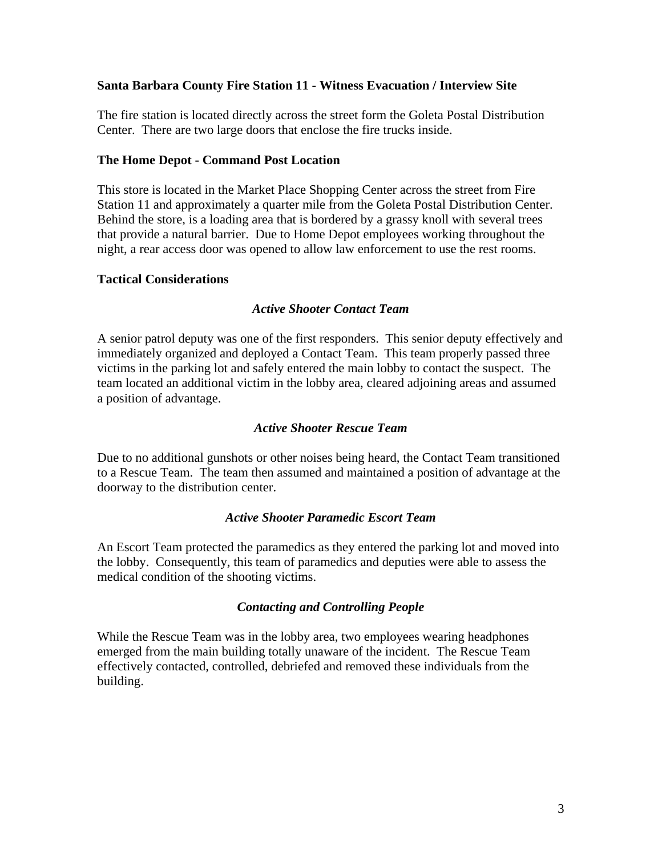## **Santa Barbara County Fire Station 11 - Witness Evacuation / Interview Site**

The fire station is located directly across the street form the Goleta Postal Distribution Center. There are two large doors that enclose the fire trucks inside.

## **The Home Depot - Command Post Location**

This store is located in the Market Place Shopping Center across the street from Fire Station 11 and approximately a quarter mile from the Goleta Postal Distribution Center. Behind the store, is a loading area that is bordered by a grassy knoll with several trees that provide a natural barrier. Due to Home Depot employees working throughout the night, a rear access door was opened to allow law enforcement to use the rest rooms.

### **Tactical Considerations**

### *Active Shooter Contact Team*

A senior patrol deputy was one of the first responders. This senior deputy effectively and immediately organized and deployed a Contact Team. This team properly passed three victims in the parking lot and safely entered the main lobby to contact the suspect. The team located an additional victim in the lobby area, cleared adjoining areas and assumed a position of advantage.

### *Active Shooter Rescue Team*

Due to no additional gunshots or other noises being heard, the Contact Team transitioned to a Rescue Team. The team then assumed and maintained a position of advantage at the doorway to the distribution center.

### *Active Shooter Paramedic Escort Team*

An Escort Team protected the paramedics as they entered the parking lot and moved into the lobby. Consequently, this team of paramedics and deputies were able to assess the medical condition of the shooting victims.

# *Contacting and Controlling People*

While the Rescue Team was in the lobby area, two employees wearing headphones emerged from the main building totally unaware of the incident. The Rescue Team effectively contacted, controlled, debriefed and removed these individuals from the building.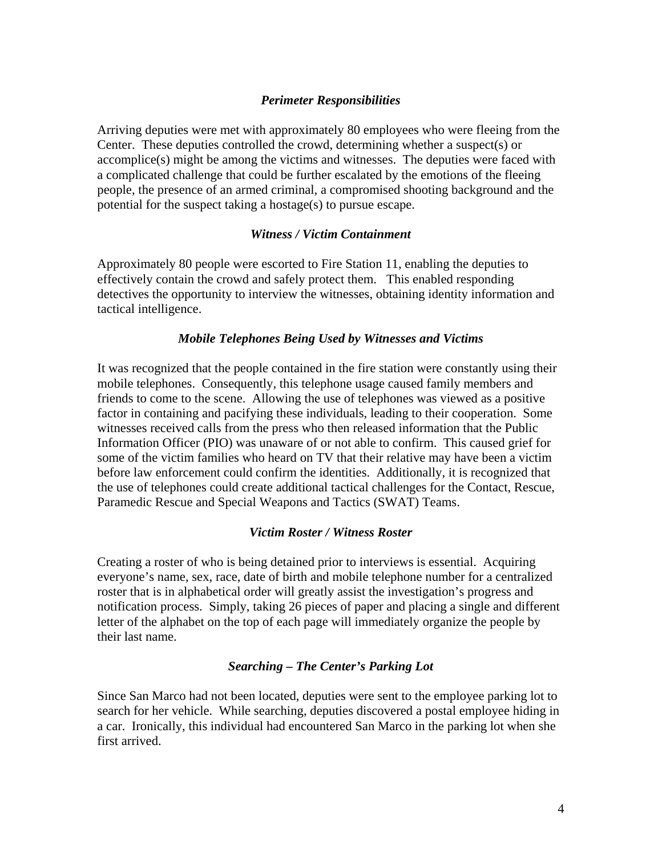# *Perimeter Responsibilities*

Arriving deputies were met with approximately 80 employees who were fleeing from the Center. These deputies controlled the crowd, determining whether a suspect(s) or accomplice(s) might be among the victims and witnesses. The deputies were faced with a complicated challenge that could be further escalated by the emotions of the fleeing people, the presence of an armed criminal, a compromised shooting background and the potential for the suspect taking a hostage(s) to pursue escape.

#### *Witness / Victim Containment*

Approximately 80 people were escorted to Fire Station 11, enabling the deputies to effectively contain the crowd and safely protect them. This enabled responding detectives the opportunity to interview the witnesses, obtaining identity information and tactical intelligence.

### *Mobile Telephones Being Used by Witnesses and Victims*

It was recognized that the people contained in the fire station were constantly using their mobile telephones. Consequently, this telephone usage caused family members and friends to come to the scene. Allowing the use of telephones was viewed as a positive factor in containing and pacifying these individuals, leading to their cooperation. Some witnesses received calls from the press who then released information that the Public Information Officer (PIO) was unaware of or not able to confirm. This caused grief for some of the victim families who heard on TV that their relative may have been a victim before law enforcement could confirm the identities. Additionally, it is recognized that the use of telephones could create additional tactical challenges for the Contact, Rescue, Paramedic Rescue and Special Weapons and Tactics (SWAT) Teams.

### *Victim Roster / Witness Roster*

Creating a roster of who is being detained prior to interviews is essential. Acquiring everyone's name, sex, race, date of birth and mobile telephone number for a centralized roster that is in alphabetical order will greatly assist the investigation's progress and notification process. Simply, taking 26 pieces of paper and placing a single and different letter of the alphabet on the top of each page will immediately organize the people by their last name.

#### *Searching – The Center's Parking Lot*

Since San Marco had not been located, deputies were sent to the employee parking lot to search for her vehicle. While searching, deputies discovered a postal employee hiding in a car. Ironically, this individual had encountered San Marco in the parking lot when she first arrived.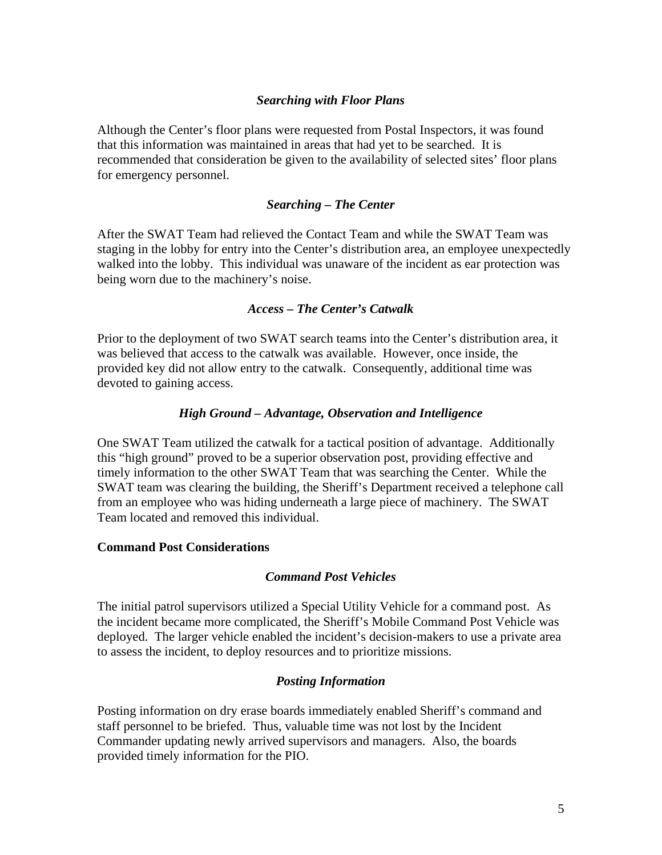# *Searching with Floor Plans*

Although the Center's floor plans were requested from Postal Inspectors, it was found that this information was maintained in areas that had yet to be searched. It is recommended that consideration be given to the availability of selected sites' floor plans for emergency personnel.

### *Searching – The Center*

After the SWAT Team had relieved the Contact Team and while the SWAT Team was staging in the lobby for entry into the Center's distribution area, an employee unexpectedly walked into the lobby. This individual was unaware of the incident as ear protection was being worn due to the machinery's noise.

#### *Access – The Center's Catwalk*

Prior to the deployment of two SWAT search teams into the Center's distribution area, it was believed that access to the catwalk was available. However, once inside, the provided key did not allow entry to the catwalk. Consequently, additional time was devoted to gaining access.

### *High Ground – Advantage, Observation and Intelligence*

One SWAT Team utilized the catwalk for a tactical position of advantage. Additionally this "high ground" proved to be a superior observation post, providing effective and timely information to the other SWAT Team that was searching the Center. While the SWAT team was clearing the building, the Sheriff's Department received a telephone call from an employee who was hiding underneath a large piece of machinery. The SWAT Team located and removed this individual.

#### **Command Post Considerations**

#### *Command Post Vehicles*

The initial patrol supervisors utilized a Special Utility Vehicle for a command post. As the incident became more complicated, the Sheriff's Mobile Command Post Vehicle was deployed. The larger vehicle enabled the incident's decision-makers to use a private area to assess the incident, to deploy resources and to prioritize missions.

### *Posting Information*

Posting information on dry erase boards immediately enabled Sheriff's command and staff personnel to be briefed. Thus, valuable time was not lost by the Incident Commander updating newly arrived supervisors and managers. Also, the boards provided timely information for the PIO.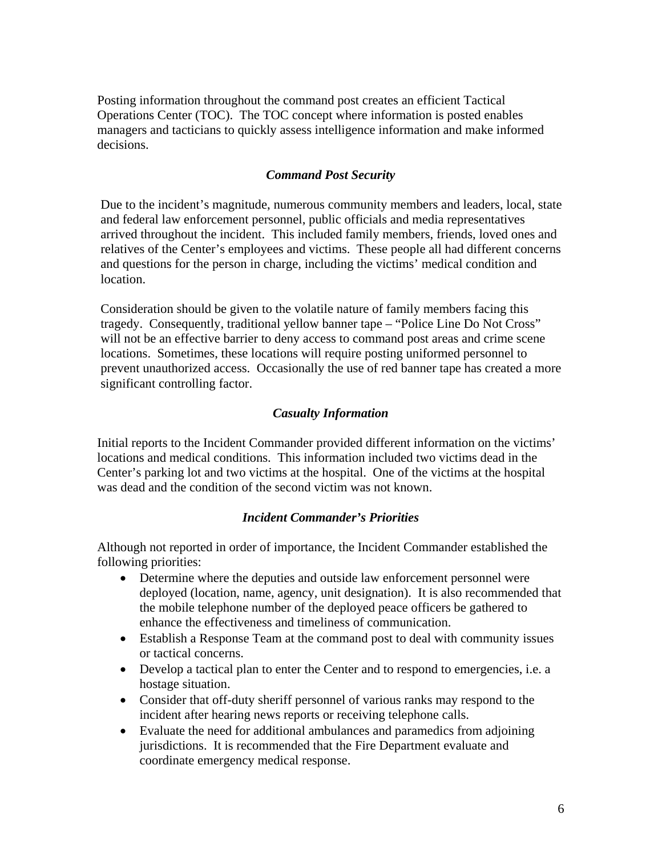Posting information throughout the command post creates an efficient Tactical Operations Center (TOC). The TOC concept where information is posted enables managers and tacticians to quickly assess intelligence information and make informed decisions.

# *Command Post Security*

Due to the incident's magnitude, numerous community members and leaders, local, state and federal law enforcement personnel, public officials and media representatives arrived throughout the incident. This included family members, friends, loved ones and relatives of the Center's employees and victims. These people all had different concerns and questions for the person in charge, including the victims' medical condition and location.

Consideration should be given to the volatile nature of family members facing this tragedy. Consequently, traditional yellow banner tape – "Police Line Do Not Cross" will not be an effective barrier to deny access to command post areas and crime scene locations. Sometimes, these locations will require posting uniformed personnel to prevent unauthorized access. Occasionally the use of red banner tape has created a more significant controlling factor.

### *Casualty Information*

Initial reports to the Incident Commander provided different information on the victims' locations and medical conditions. This information included two victims dead in the Center's parking lot and two victims at the hospital. One of the victims at the hospital was dead and the condition of the second victim was not known.

## *Incident Commander's Priorities*

Although not reported in order of importance, the Incident Commander established the following priorities:

- Determine where the deputies and outside law enforcement personnel were deployed (location, name, agency, unit designation). It is also recommended that the mobile telephone number of the deployed peace officers be gathered to enhance the effectiveness and timeliness of communication.
- Establish a Response Team at the command post to deal with community issues or tactical concerns.
- Develop a tactical plan to enter the Center and to respond to emergencies, i.e. a hostage situation.
- Consider that off-duty sheriff personnel of various ranks may respond to the incident after hearing news reports or receiving telephone calls.
- Evaluate the need for additional ambulances and paramedics from adjoining jurisdictions. It is recommended that the Fire Department evaluate and coordinate emergency medical response.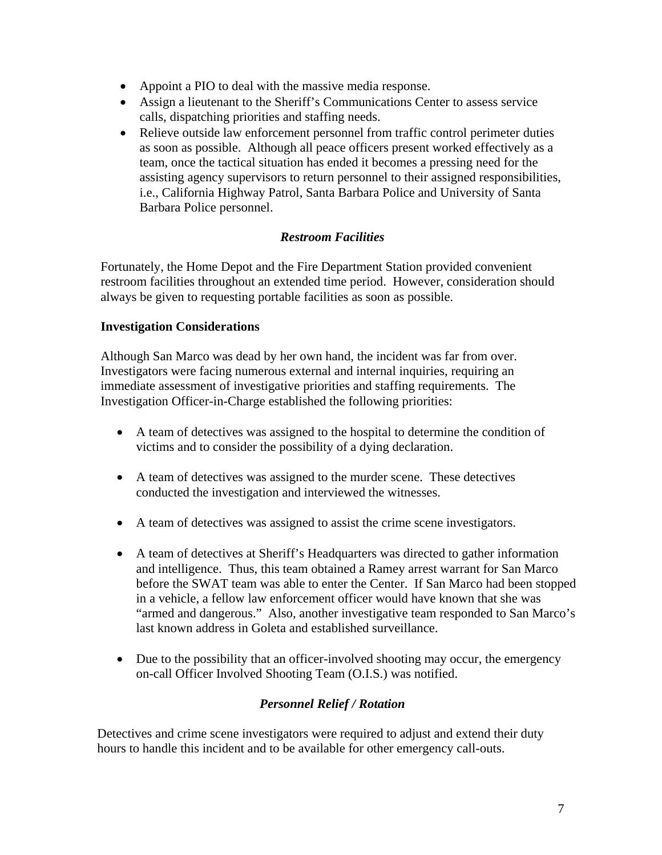- Appoint a PIO to deal with the massive media response.
- Assign a lieutenant to the Sheriff's Communications Center to assess service calls, dispatching priorities and staffing needs.
- Relieve outside law enforcement personnel from traffic control perimeter duties as soon as possible. Although all peace officers present worked effectively as a team, once the tactical situation has ended it becomes a pressing need for the assisting agency supervisors to return personnel to their assigned responsibilities, i.e., California Highway Patrol, Santa Barbara Police and University of Santa Barbara Police personnel.

# *Restroom Facilities*

Fortunately, the Home Depot and the Fire Department Station provided convenient restroom facilities throughout an extended time period. However, consideration should always be given to requesting portable facilities as soon as possible.

# **Investigation Considerations**

Although San Marco was dead by her own hand, the incident was far from over. Investigators were facing numerous external and internal inquiries, requiring an immediate assessment of investigative priorities and staffing requirements. The Investigation Officer-in-Charge established the following priorities:

- A team of detectives was assigned to the hospital to determine the condition of victims and to consider the possibility of a dying declaration.
- A team of detectives was assigned to the murder scene. These detectives conducted the investigation and interviewed the witnesses.
- A team of detectives was assigned to assist the crime scene investigators.
- A team of detectives at Sheriff's Headquarters was directed to gather information and intelligence. Thus, this team obtained a Ramey arrest warrant for San Marco before the SWAT team was able to enter the Center. If San Marco had been stopped in a vehicle, a fellow law enforcement officer would have known that she was "armed and dangerous." Also, another investigative team responded to San Marco's last known address in Goleta and established surveillance.
- Due to the possibility that an officer-involved shooting may occur, the emergency on-call Officer Involved Shooting Team (O.I.S.) was notified.

# *Personnel Relief / Rotation*

Detectives and crime scene investigators were required to adjust and extend their duty hours to handle this incident and to be available for other emergency call-outs.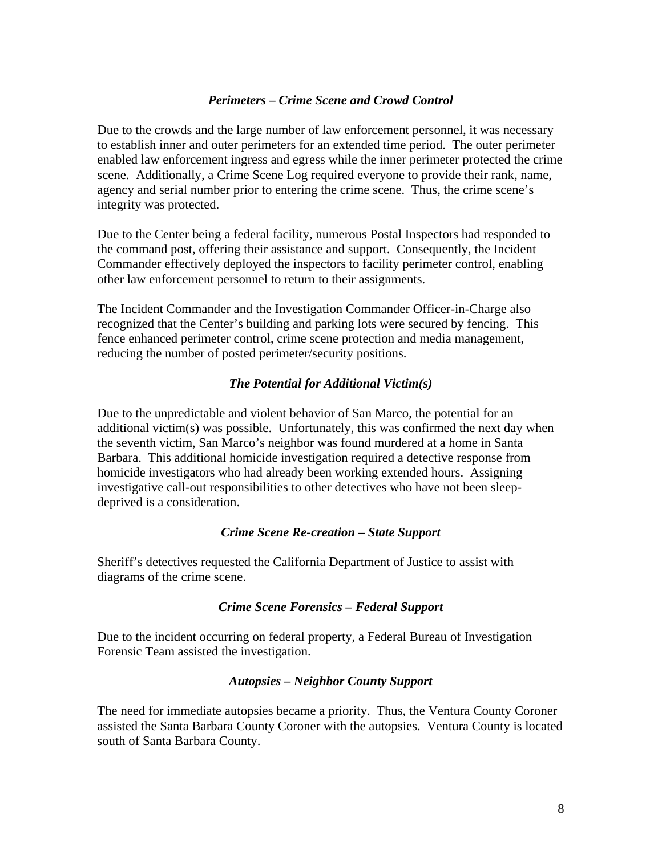## *Perimeters – Crime Scene and Crowd Control*

Due to the crowds and the large number of law enforcement personnel, it was necessary to establish inner and outer perimeters for an extended time period. The outer perimeter enabled law enforcement ingress and egress while the inner perimeter protected the crime scene. Additionally, a Crime Scene Log required everyone to provide their rank, name, agency and serial number prior to entering the crime scene. Thus, the crime scene's integrity was protected.

Due to the Center being a federal facility, numerous Postal Inspectors had responded to the command post, offering their assistance and support. Consequently, the Incident Commander effectively deployed the inspectors to facility perimeter control, enabling other law enforcement personnel to return to their assignments.

The Incident Commander and the Investigation Commander Officer-in-Charge also recognized that the Center's building and parking lots were secured by fencing. This fence enhanced perimeter control, crime scene protection and media management, reducing the number of posted perimeter/security positions.

### *The Potential for Additional Victim(s)*

Due to the unpredictable and violent behavior of San Marco, the potential for an additional victim(s) was possible. Unfortunately, this was confirmed the next day when the seventh victim, San Marco's neighbor was found murdered at a home in Santa Barbara. This additional homicide investigation required a detective response from homicide investigators who had already been working extended hours. Assigning investigative call-out responsibilities to other detectives who have not been sleepdeprived is a consideration.

#### *Crime Scene Re-creation – State Support*

Sheriff's detectives requested the California Department of Justice to assist with diagrams of the crime scene.

#### *Crime Scene Forensics – Federal Support*

Due to the incident occurring on federal property, a Federal Bureau of Investigation Forensic Team assisted the investigation.

#### *Autopsies – Neighbor County Support*

The need for immediate autopsies became a priority. Thus, the Ventura County Coroner assisted the Santa Barbara County Coroner with the autopsies. Ventura County is located south of Santa Barbara County.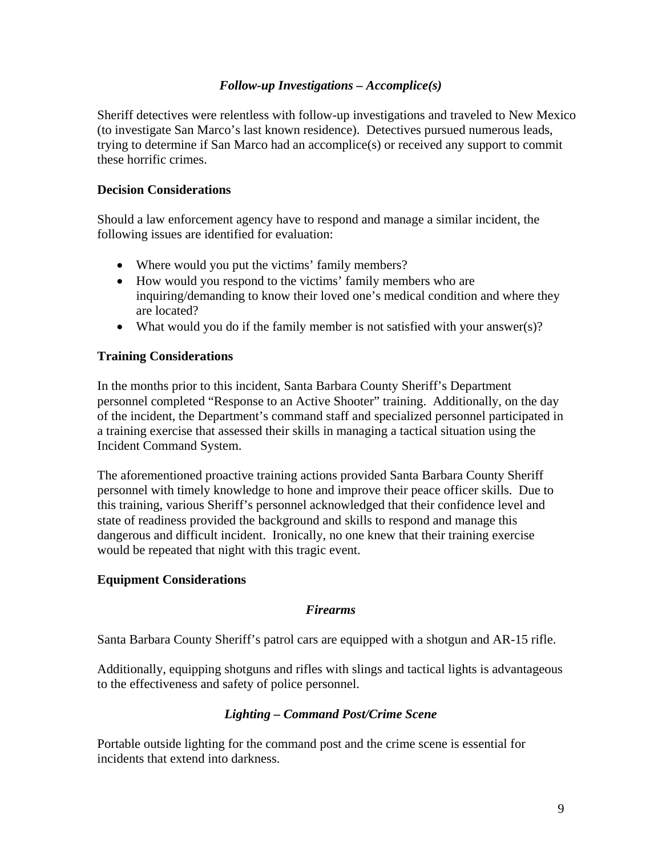# *Follow-up Investigations – Accomplice(s)*

Sheriff detectives were relentless with follow-up investigations and traveled to New Mexico (to investigate San Marco's last known residence). Detectives pursued numerous leads, trying to determine if San Marco had an accomplice(s) or received any support to commit these horrific crimes.

# **Decision Considerations**

Should a law enforcement agency have to respond and manage a similar incident, the following issues are identified for evaluation:

- Where would you put the victims' family members?
- How would you respond to the victims' family members who are inquiring/demanding to know their loved one's medical condition and where they are located?
- What would you do if the family member is not satisfied with your answer(s)?

# **Training Considerations**

In the months prior to this incident, Santa Barbara County Sheriff's Department personnel completed "Response to an Active Shooter" training. Additionally, on the day of the incident, the Department's command staff and specialized personnel participated in a training exercise that assessed their skills in managing a tactical situation using the Incident Command System.

The aforementioned proactive training actions provided Santa Barbara County Sheriff personnel with timely knowledge to hone and improve their peace officer skills. Due to this training, various Sheriff's personnel acknowledged that their confidence level and state of readiness provided the background and skills to respond and manage this dangerous and difficult incident. Ironically, no one knew that their training exercise would be repeated that night with this tragic event.

### **Equipment Considerations**

### *Firearms*

Santa Barbara County Sheriff's patrol cars are equipped with a shotgun and AR-15 rifle.

Additionally, equipping shotguns and rifles with slings and tactical lights is advantageous to the effectiveness and safety of police personnel.

### *Lighting – Command Post/Crime Scene*

Portable outside lighting for the command post and the crime scene is essential for incidents that extend into darkness.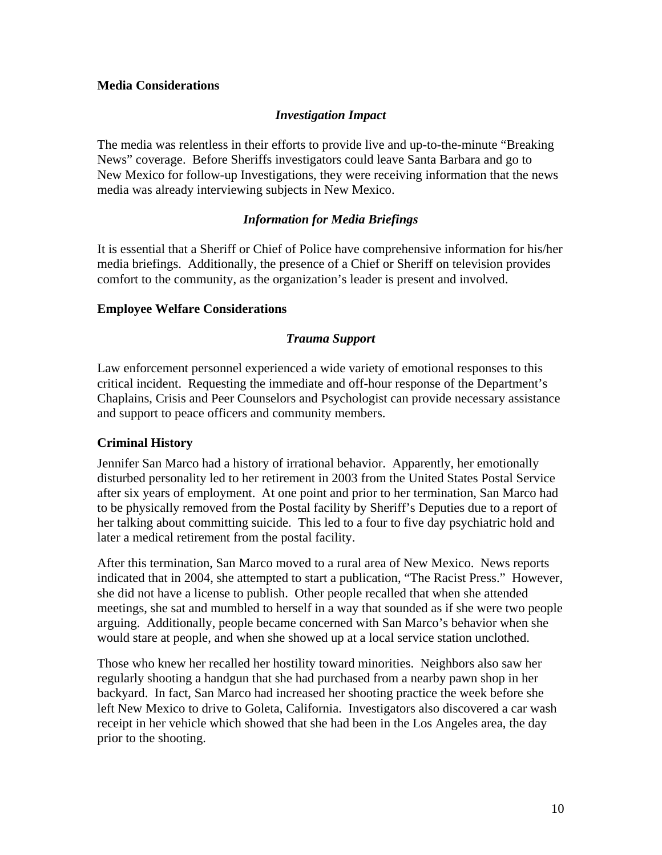# **Media Considerations**

# *Investigation Impact*

The media was relentless in their efforts to provide live and up-to-the-minute "Breaking News" coverage. Before Sheriffs investigators could leave Santa Barbara and go to New Mexico for follow-up Investigations, they were receiving information that the news media was already interviewing subjects in New Mexico.

# *Information for Media Briefings*

It is essential that a Sheriff or Chief of Police have comprehensive information for his/her media briefings. Additionally, the presence of a Chief or Sheriff on television provides comfort to the community, as the organization's leader is present and involved.

### **Employee Welfare Considerations**

### *Trauma Support*

Law enforcement personnel experienced a wide variety of emotional responses to this critical incident. Requesting the immediate and off-hour response of the Department's Chaplains, Crisis and Peer Counselors and Psychologist can provide necessary assistance and support to peace officers and community members.

### **Criminal History**

Jennifer San Marco had a history of irrational behavior. Apparently, her emotionally disturbed personality led to her retirement in 2003 from the United States Postal Service after six years of employment. At one point and prior to her termination, San Marco had to be physically removed from the Postal facility by Sheriff's Deputies due to a report of her talking about committing suicide. This led to a four to five day psychiatric hold and later a medical retirement from the postal facility.

After this termination, San Marco moved to a rural area of New Mexico. News reports indicated that in 2004, she attempted to start a publication, "The Racist Press." However, she did not have a license to publish. Other people recalled that when she attended meetings, she sat and mumbled to herself in a way that sounded as if she were two people arguing. Additionally, people became concerned with San Marco's behavior when she would stare at people, and when she showed up at a local service station unclothed.

Those who knew her recalled her hostility toward minorities. Neighbors also saw her regularly shooting a handgun that she had purchased from a nearby pawn shop in her backyard. In fact, San Marco had increased her shooting practice the week before she left New Mexico to drive to Goleta, California. Investigators also discovered a car wash receipt in her vehicle which showed that she had been in the Los Angeles area, the day prior to the shooting.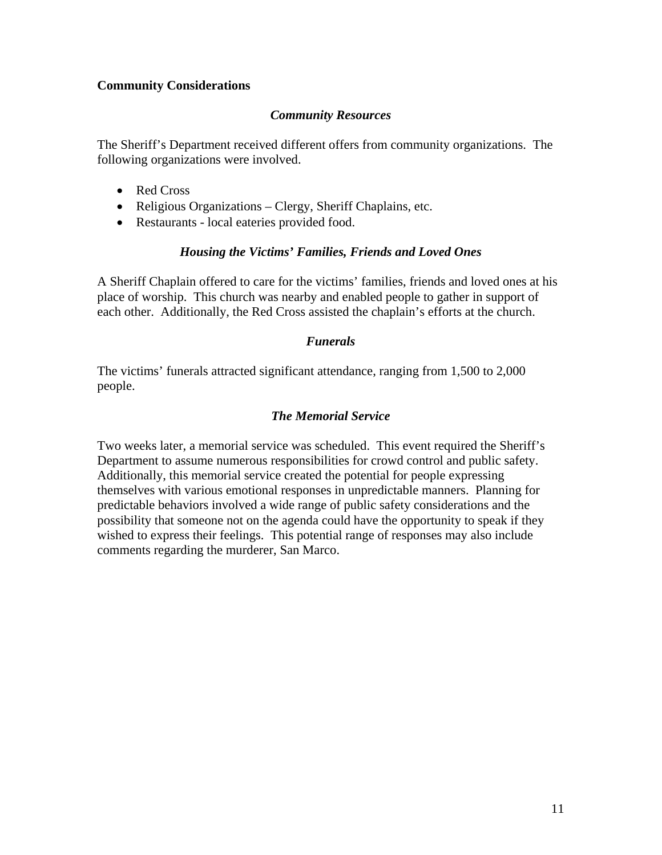# **Community Considerations**

# *Community Resources*

The Sheriff's Department received different offers from community organizations. The following organizations were involved.

- Red Cross
- Religious Organizations Clergy, Sheriff Chaplains, etc.
- Restaurants local eateries provided food.

### *Housing the Victims' Families, Friends and Loved Ones*

A Sheriff Chaplain offered to care for the victims' families, friends and loved ones at his place of worship. This church was nearby and enabled people to gather in support of each other. Additionally, the Red Cross assisted the chaplain's efforts at the church.

# *Funerals*

The victims' funerals attracted significant attendance, ranging from 1,500 to 2,000 people.

# *The Memorial Service*

Two weeks later, a memorial service was scheduled. This event required the Sheriff's Department to assume numerous responsibilities for crowd control and public safety. Additionally, this memorial service created the potential for people expressing themselves with various emotional responses in unpredictable manners. Planning for predictable behaviors involved a wide range of public safety considerations and the possibility that someone not on the agenda could have the opportunity to speak if they wished to express their feelings. This potential range of responses may also include comments regarding the murderer, San Marco.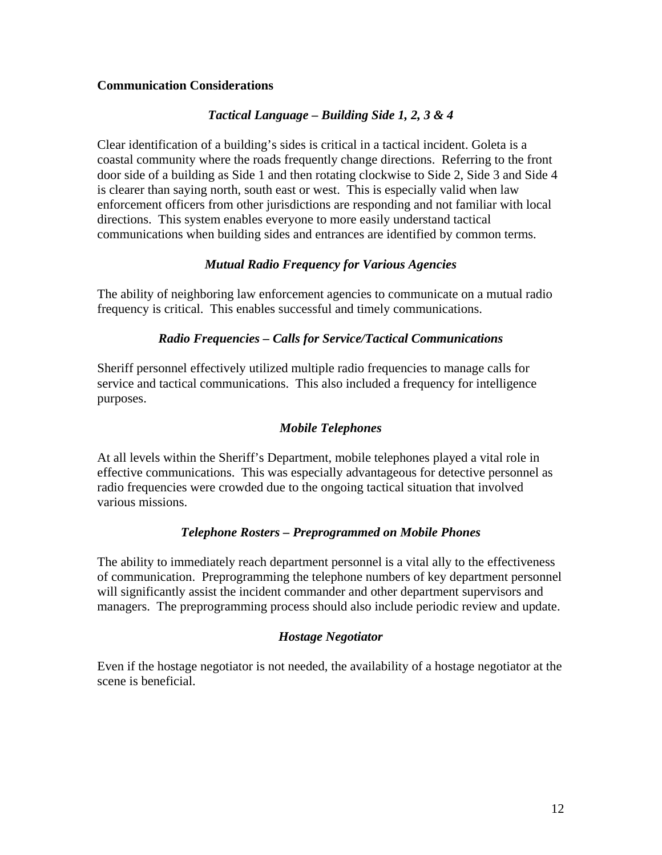# **Communication Considerations**

# *Tactical Language – Building Side 1, 2, 3 & 4*

Clear identification of a building's sides is critical in a tactical incident. Goleta is a coastal community where the roads frequently change directions. Referring to the front door side of a building as Side 1 and then rotating clockwise to Side 2, Side 3 and Side 4 is clearer than saying north, south east or west. This is especially valid when law enforcement officers from other jurisdictions are responding and not familiar with local directions. This system enables everyone to more easily understand tactical communications when building sides and entrances are identified by common terms.

# *Mutual Radio Frequency for Various Agencies*

The ability of neighboring law enforcement agencies to communicate on a mutual radio frequency is critical. This enables successful and timely communications.

# *Radio Frequencies – Calls for Service/Tactical Communications*

Sheriff personnel effectively utilized multiple radio frequencies to manage calls for service and tactical communications. This also included a frequency for intelligence purposes.

### *Mobile Telephones*

At all levels within the Sheriff's Department, mobile telephones played a vital role in effective communications. This was especially advantageous for detective personnel as radio frequencies were crowded due to the ongoing tactical situation that involved various missions.

### *Telephone Rosters – Preprogrammed on Mobile Phones*

The ability to immediately reach department personnel is a vital ally to the effectiveness of communication. Preprogramming the telephone numbers of key department personnel will significantly assist the incident commander and other department supervisors and managers. The preprogramming process should also include periodic review and update.

# *Hostage Negotiator*

Even if the hostage negotiator is not needed, the availability of a hostage negotiator at the scene is beneficial.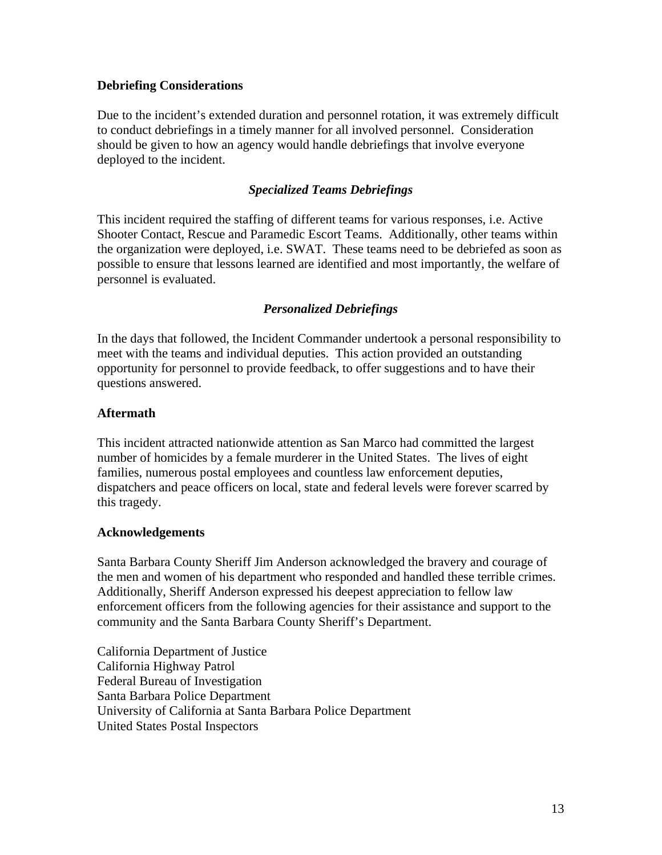# **Debriefing Considerations**

Due to the incident's extended duration and personnel rotation, it was extremely difficult to conduct debriefings in a timely manner for all involved personnel. Consideration should be given to how an agency would handle debriefings that involve everyone deployed to the incident.

# *Specialized Teams Debriefings*

This incident required the staffing of different teams for various responses, i.e. Active Shooter Contact, Rescue and Paramedic Escort Teams. Additionally, other teams within the organization were deployed, i.e. SWAT. These teams need to be debriefed as soon as possible to ensure that lessons learned are identified and most importantly, the welfare of personnel is evaluated.

# *Personalized Debriefings*

In the days that followed, the Incident Commander undertook a personal responsibility to meet with the teams and individual deputies. This action provided an outstanding opportunity for personnel to provide feedback, to offer suggestions and to have their questions answered.

# **Aftermath**

This incident attracted nationwide attention as San Marco had committed the largest number of homicides by a female murderer in the United States. The lives of eight families, numerous postal employees and countless law enforcement deputies, dispatchers and peace officers on local, state and federal levels were forever scarred by this tragedy.

### **Acknowledgements**

Santa Barbara County Sheriff Jim Anderson acknowledged the bravery and courage of the men and women of his department who responded and handled these terrible crimes. Additionally, Sheriff Anderson expressed his deepest appreciation to fellow law enforcement officers from the following agencies for their assistance and support to the community and the Santa Barbara County Sheriff's Department.

California Department of Justice California Highway Patrol Federal Bureau of Investigation Santa Barbara Police Department University of California at Santa Barbara Police Department United States Postal Inspectors